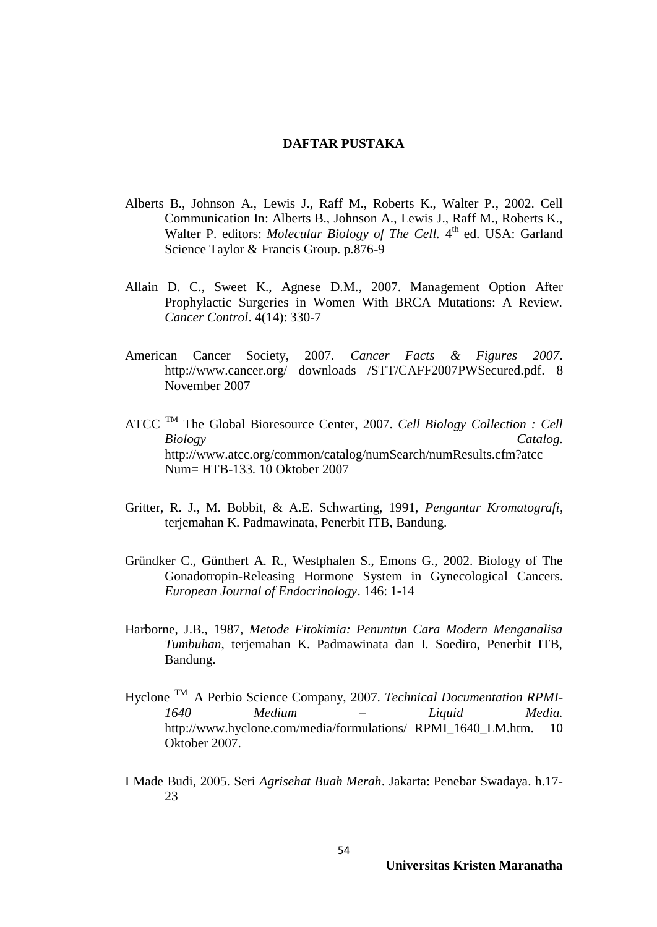## **DAFTAR PUSTAKA**

- Alberts B., Johnson A., Lewis J., Raff M., Roberts K., Walter P., 2002. Cell Communication In: Alberts B., Johnson A., Lewis J., Raff M., Roberts K., Walter P. editors: *Molecular Biology of The Cell*. 4<sup>th</sup> ed. USA: Garland Science Taylor & Francis Group. p.876-9
- Allain D. C., Sweet K., Agnese D.M., 2007. Management Option After Prophylactic Surgeries in Women With BRCA Mutations: A Review. *Cancer Control*. 4(14): 330-7
- American Cancer Society, 2007. *Cancer Facts & Figures 2007*. http://www.cancer.org/ downloads /STT/CAFF2007PWSecured.pdf. 8 November 2007
- ATCC TM The Global Bioresource Center, 2007. *Cell Biology Collection : Cell Biology Catalog.*  http://www.atcc.org/common/catalog/numSearch/numResults.cfm?atcc Num= HTB-133*.* 10 Oktober 2007
- Gritter, R. J., M. Bobbit, & A.E. Schwarting, 1991, *Pengantar Kromatografi*, terjemahan K. Padmawinata, Penerbit ITB, Bandung.
- Gründker C., Günthert A. R., Westphalen S., Emons G., 2002. Biology of The Gonadotropin-Releasing Hormone System in Gynecological Cancers. *European Journal of Endocrinology*. 146: 1-14
- Harborne, J.B., 1987, *Metode Fitokimia: Penuntun Cara Modern Menganalisa Tumbuhan*, terjemahan K. Padmawinata dan I. Soediro, Penerbit ITB, Bandung.
- Hyclone TM A Perbio Science Company, 2007. *Technical Documentation RPMI-1640 Medium – Liquid Media.* http://www.hyclone.com/media/formulations/ RPMI\_1640\_LM.htm.10 Oktober 2007.
- I Made Budi, 2005. Seri *Agrisehat Buah Merah*. Jakarta: Penebar Swadaya. h.17- 23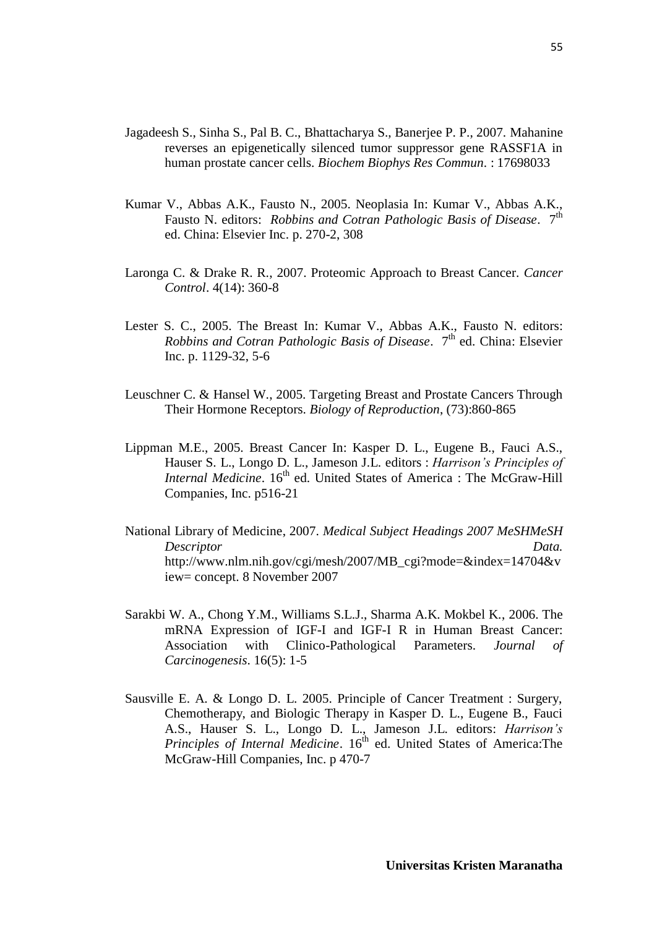- Jagadeesh S., Sinha S., Pal B. C., Bhattacharya S., Banerjee P. P., 2007. Mahanine reverses an epigenetically silenced tumor suppressor gene RASSF1A in human prostate cancer cells. *Biochem Biophys Res Commun*. : 17698033
- Kumar V., Abbas A.K., Fausto N., 2005. Neoplasia In: Kumar V., Abbas A.K., Fausto N. editors: *Robbins and Cotran Pathologic Basis of Disease*. 7<sup>th</sup> ed. China: Elsevier Inc. p. 270-2, 308
- Laronga C. & Drake R. R., 2007. Proteomic Approach to Breast Cancer. *Cancer Control*. 4(14): 360-8
- Lester S. C., 2005. The Breast In: Kumar V., Abbas A.K., Fausto N. editors: *Robbins and Cotran Pathologic Basis of Disease.* 7<sup>th</sup> ed. China: Elsevier Inc. p. 1129-32, 5-6
- Leuschner C. & Hansel W., 2005. Targeting Breast and Prostate Cancers Through Their Hormone Receptors. *Biology of Reproduction*, (73):860-865
- Lippman M.E., 2005. Breast Cancer In: Kasper D. L., Eugene B., Fauci A.S., Hauser S. L., Longo D. L., Jameson J.L. editors : *Harrison's Principles of Internal Medicine*. 16<sup>th</sup> ed. United States of America : The McGraw-Hill Companies, Inc. p516-21
- National Library of Medicine, 2007. *Medical Subject Headings 2007 MeSHMeSH Descriptor Data.*  http://www.nlm.nih.gov/cgi/mesh/2007/MB\_cgi?mode=&index=14704&v iew= concept. 8 November 2007
- Sarakbi W. A., Chong Y.M., Williams S.L.J., Sharma A.K. Mokbel K., 2006. The mRNA Expression of IGF-I and IGF-I R in Human Breast Cancer: Association with Clinico-Pathological Parameters. *Journal of Carcinogenesis*. 16(5): 1-5
- Sausville E. A. & Longo D. L. 2005. Principle of Cancer Treatment : Surgery, Chemotherapy, and Biologic Therapy in Kasper D. L., Eugene B., Fauci A.S., Hauser S. L., Longo D. L., Jameson J.L. editors: *Harrison's Principles of Internal Medicine*. 16<sup>th</sup> ed. United States of America:The McGraw-Hill Companies, Inc. p 470-7